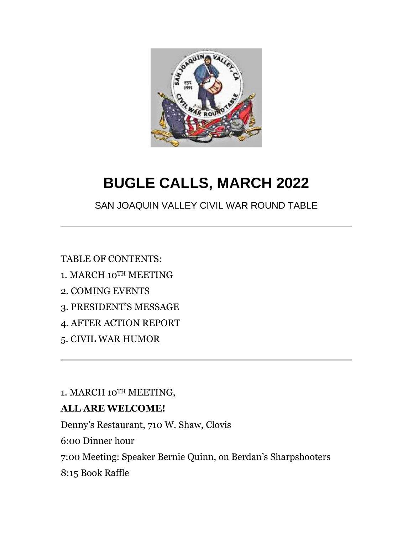

# **BUGLE CALLS, MARCH 2022**

SAN JOAQUIN VALLEY CIVIL WAR ROUND TABLE

TABLE OF CONTENTS:

- 1. MARCH 10TH MEETING
- 2. COMING EVENTS
- 3. PRESIDENT'S MESSAGE
- 4. AFTER ACTION REPORT
- 5. CIVIL WAR HUMOR

1. MARCH 10TH MEETING,

### **ALL ARE WELCOME!**

Denny's Restaurant, 710 W. Shaw, Clovis

6:00 Dinner hour

7:00 Meeting: Speaker Bernie Quinn, on Berdan's Sharpshooters

8:15 Book Raffle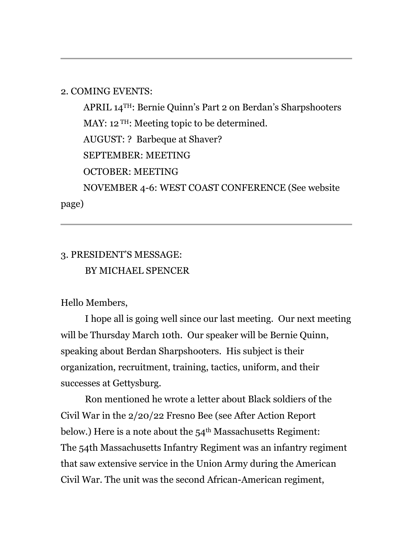#### 2. COMING EVENTS:

 APRIL 14TH: Bernie Quinn's Part 2 on Berdan's Sharpshooters MAY: 12<sup>TH</sup>: Meeting topic to be determined. AUGUST: ? Barbeque at Shaver? SEPTEMBER: MEETING OCTOBER: MEETING NOVEMBER 4-6: WEST COAST CONFERENCE (See website

page)

## 3. PRESIDENT'S MESSAGE: BY MICHAEL SPENCER

Hello Members,

I hope all is going well since our last meeting. Our next meeting will be Thursday March 10th. Our speaker will be Bernie Quinn, speaking about Berdan Sharpshooters. His subject is their organization, recruitment, training, tactics, uniform, and their successes at Gettysburg.

Ron mentioned he wrote a letter about Black soldiers of the Civil War in the 2/20/22 Fresno Bee (see After Action Report below.) Here is a note about the  $54<sup>th</sup>$  Massachusetts Regiment: The 54th Massachusetts Infantry Regiment was an infantry regiment that saw extensive service in the Union Army during the American Civil War. The unit was the second African-American regiment,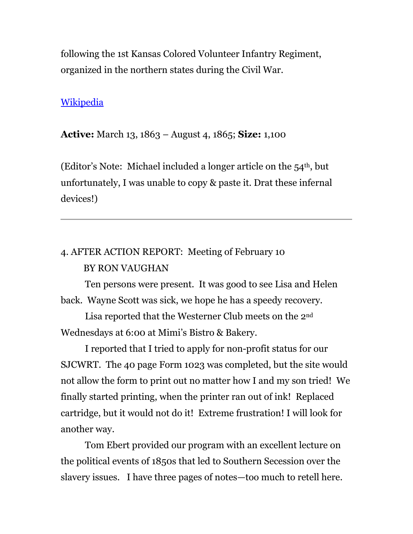following the 1st Kansas Colored Volunteer Infantry Regiment, organized in the northern states during the Civil War.

#### **[Wikipedia](https://en.wikipedia.org/wiki/54th_Massachusetts_Infantry_Regiment)**

**Active:** March 13, 1863 – August 4, 1865; **Size:** 1,100

(Editor's Note: Michael included a longer article on the  $54<sup>th</sup>$ , but unfortunately, I was unable to copy & paste it. Drat these infernal devices!)

# 4. AFTER ACTION REPORT: Meeting of February 10 BY RON VAUGHAN

Ten persons were present. It was good to see Lisa and Helen back. Wayne Scott was sick, we hope he has a speedy recovery.

Lisa reported that the Westerner Club meets on the 2nd Wednesdays at 6:00 at Mimi's Bistro & Bakery.

I reported that I tried to apply for non-profit status for our SJCWRT. The 40 page Form 1023 was completed, but the site would not allow the form to print out no matter how I and my son tried! We finally started printing, when the printer ran out of ink! Replaced cartridge, but it would not do it! Extreme frustration! I will look for another way.

Tom Ebert provided our program with an excellent lecture on the political events of 1850s that led to Southern Secession over the slavery issues. I have three pages of notes—too much to retell here.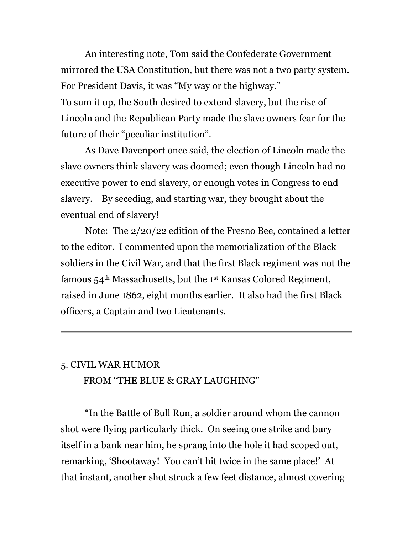An interesting note, Tom said the Confederate Government mirrored the USA Constitution, but there was not a two party system. For President Davis, it was "My way or the highway." To sum it up, the South desired to extend slavery, but the rise of Lincoln and the Republican Party made the slave owners fear for the future of their "peculiar institution".

As Dave Davenport once said, the election of Lincoln made the slave owners think slavery was doomed; even though Lincoln had no executive power to end slavery, or enough votes in Congress to end slavery. By seceding, and starting war, they brought about the eventual end of slavery!

Note: The 2/20/22 edition of the Fresno Bee, contained a letter to the editor. I commented upon the memorialization of the Black soldiers in the Civil War, and that the first Black regiment was not the famous 54th Massachusetts, but the 1st Kansas Colored Regiment, raised in June 1862, eight months earlier. It also had the first Black officers, a Captain and two Lieutenants.

### 5. CIVIL WAR HUMOR FROM "THE BLUE & GRAY LAUGHING"

"In the Battle of Bull Run, a soldier around whom the cannon shot were flying particularly thick. On seeing one strike and bury itself in a bank near him, he sprang into the hole it had scoped out, remarking, 'Shootaway! You can't hit twice in the same place!' At that instant, another shot struck a few feet distance, almost covering